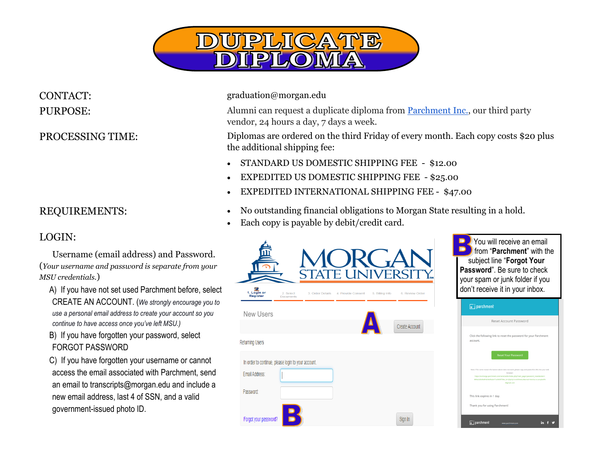

## LOGIN:

 Username (email address) and Password. (*Your username and password is separate from your MSU credentials.*)

A) If you have not set used Parchment before, select CREATE AN ACCOUNT. (*We strongly encourage you to use a personal email address to create your account so you continue to have access once you've left MSU.)*

B) If you have forgotten your password, select FORGOT PASSWORD

C) If you have forgotten your username or cannot access the email associated with Parchment, send an email to transcripts@morgan.edu and include a new email address, last 4 of SSN, and a valid government-issued photo ID.

CONTACT: graduation@morgan.edu

PURPOSE: Alumni can request a duplicate diploma from [Parchment Inc.,](https://exchange.parchment.com/send/adds/index.php?main_page=login&s_id=Q5pVp1evsSONeku3) our third party vendor, 24 hours a day, 7 days a week.

PROCESSING TIME: Diplomas are ordered on the third Friday of every month. Each copy costs \$20 plus the additional shipping fee:

- STANDARD US DOMESTIC SHIPPING FEE \$12.00
- EXPEDITED US DOMESTIC SHIPPING FEE \$25.00
- EXPEDITED INTERNATIONAL SHIPPING FEE \$47.00
- REQUIREMENTS: No outstanding financial obligations to Morgan State resulting in a hold.
	- Each copy is payable by debit/credit card.



in  $f \circ g$